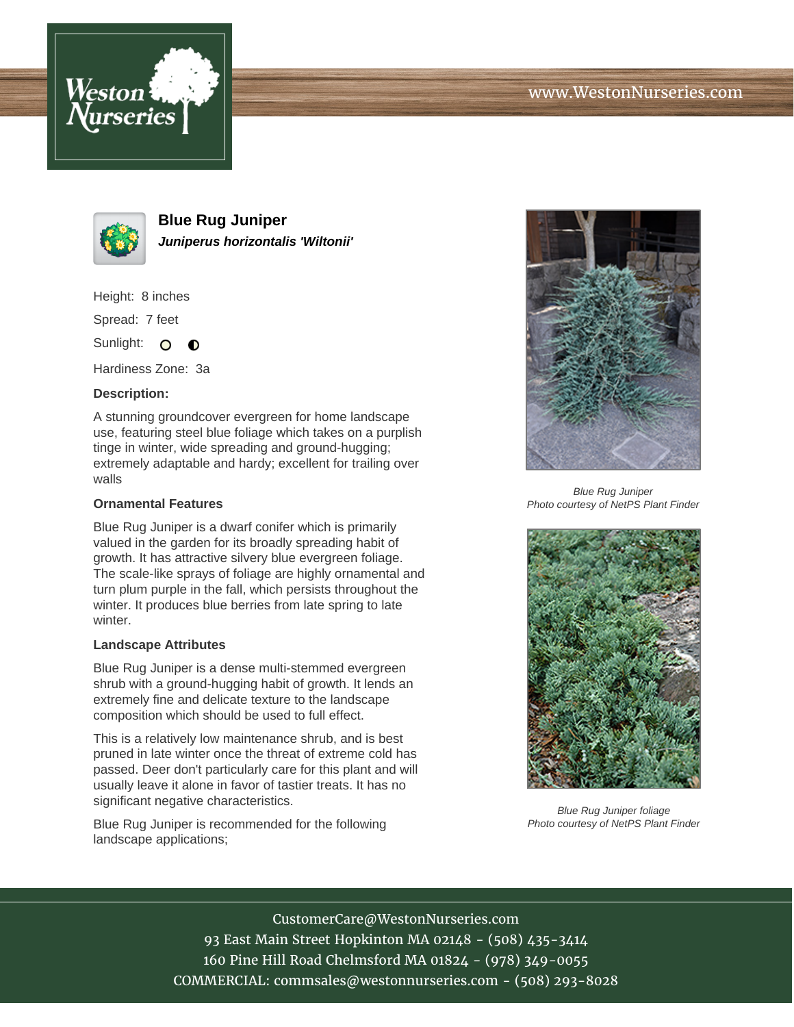



**Blue Rug Juniper Juniperus horizontalis 'Wiltonii'**

Height: 8 inches

Spread: 7 feet

Sunlight: O  $\bullet$ 

Hardiness Zone: 3a

## **Description:**

A stunning groundcover evergreen for home landscape use, featuring steel blue foliage which takes on a purplish tinge in winter, wide spreading and ground-hugging; extremely adaptable and hardy; excellent for trailing over walls

## **Ornamental Features**

Blue Rug Juniper is a dwarf conifer which is primarily valued in the garden for its broadly spreading habit of growth. It has attractive silvery blue evergreen foliage. The scale-like sprays of foliage are highly ornamental and turn plum purple in the fall, which persists throughout the winter. It produces blue berries from late spring to late winter.

## **Landscape Attributes**

Blue Rug Juniper is a dense multi-stemmed evergreen shrub with a ground-hugging habit of growth. It lends an extremely fine and delicate texture to the landscape composition which should be used to full effect.

This is a relatively low maintenance shrub, and is best pruned in late winter once the threat of extreme cold has passed. Deer don't particularly care for this plant and will usually leave it alone in favor of tastier treats. It has no significant negative characteristics.

Blue Rug Juniper is recommended for the following landscape applications;



Blue Rug Juniper Photo courtesy of NetPS Plant Finder



Blue Rug Juniper foliage Photo courtesy of NetPS Plant Finder

CustomerCare@WestonNurseries.com 93 East Main Street Hopkinton MA 02148 - (508) 435-3414 160 Pine Hill Road Chelmsford MA 01824 - (978) 349-0055 COMMERCIAL: commsales@westonnurseries.com - (508) 293-8028